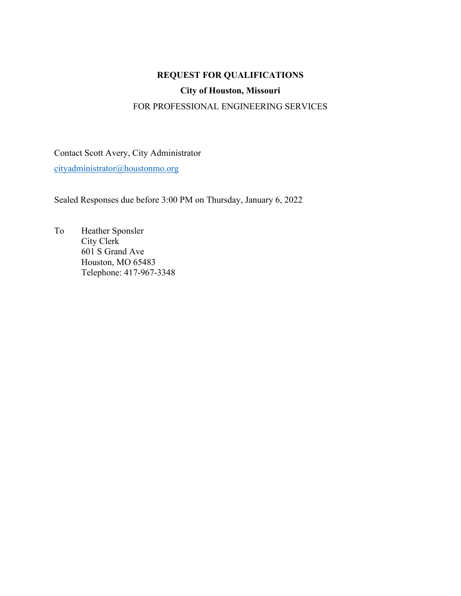# **REQUEST FOR QUALIFICATIONS**

# **City of Houston, Missouri**

### FOR PROFESSIONAL ENGINEERING SERVICES

Contact Scott Avery, City Administrator [cityadministrator@houstonmo.org](mailto:cityadministrator@houstonmo.org)

Sealed Responses due before 3:00 PM on Thursday, January 6, 2022

To Heather Sponsler City Clerk 601 S Grand Ave Houston, MO 65483 Telephone: 417-967-3348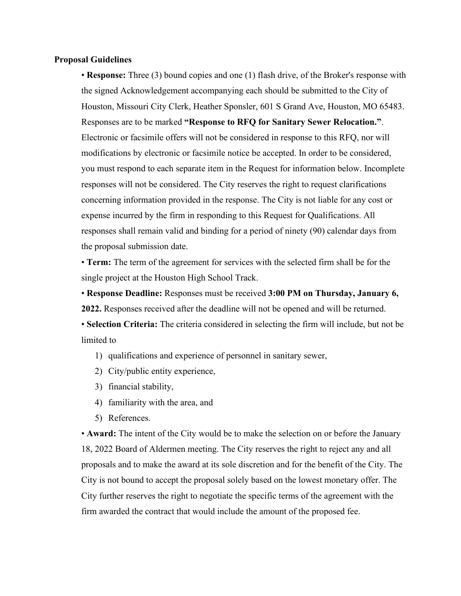#### **Proposal Guidelines**

• **Response:** Three (3) bound copies and one (1) flash drive, of the Broker's response with the signed Acknowledgement accompanying each should be submitted to the City of Houston, Missouri City Clerk, Heather Sponsler, 601 S Grand Ave, Houston, MO 65483. Responses are to be marked **"Response to RFQ for Sanitary Sewer Relocation."**. Electronic or facsimile offers will not be considered in response to this RFQ, nor will modifications by electronic or facsimile notice be accepted. In order to be considered, you must respond to each separate item in the Request for information below. Incomplete responses will not be considered. The City reserves the right to request clarifications concerning information provided in the response. The City is not liable for any cost or expense incurred by the firm in responding to this Request for Qualifications. All responses shall remain valid and binding for a period of ninety (90) calendar days from the proposal submission date.

• **Term:** The term of the agreement for services with the selected firm shall be for the single project at the Houston High School Track.

• **Response Deadline:** Responses must be received **3:00 PM on Thursday, January 6, 2022.** Responses received after the deadline will not be opened and will be returned.

• **Selection Criteria:** The criteria considered in selecting the firm will include, but not be limited to

- 1) qualifications and experience of personnel in sanitary sewer,
- 2) City/public entity experience,
- 3) financial stability,
- 4) familiarity with the area, and
- 5) References.

• **Award:** The intent of the City would be to make the selection on or before the January 18, 2022 Board of Aldermen meeting. The City reserves the right to reject any and all proposals and to make the award at its sole discretion and for the benefit of the City. The City is not bound to accept the proposal solely based on the lowest monetary offer. The City further reserves the right to negotiate the specific terms of the agreement with the firm awarded the contract that would include the amount of the proposed fee.